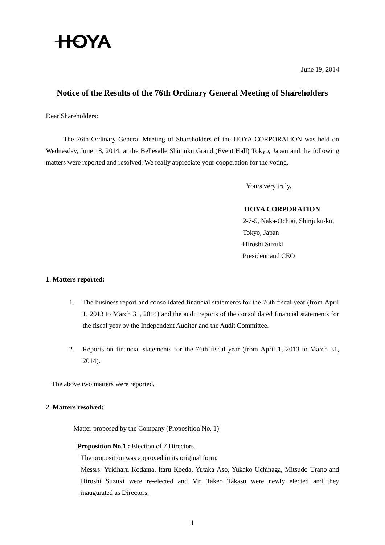

June 19, 2014

### **Notice of the Results of the 76th Ordinary General Meeting of Shareholders**

Dear Shareholders:

The 76th Ordinary General Meeting of Shareholders of the HOYA CORPORATION was held on Wednesday, June 18, 2014, at the Bellesalle Shinjuku Grand (Event Hall) Tokyo, Japan and the following matters were reported and resolved. We really appreciate your cooperation for the voting.

Yours very truly,

### **HOYA CORPORATION**

2-7-5, Naka-Ochiai, Shinjuku-ku, Tokyo, Japan Hiroshi Suzuki President and CEO

#### **1. Matters reported:**

- 1. The business report and consolidated financial statements for the 76th fiscal year (from April 1, 2013 to March 31, 2014) and the audit reports of the consolidated financial statements for the fiscal year by the Independent Auditor and the Audit Committee.
- 2. Reports on financial statements for the 76th fiscal year (from April 1, 2013 to March 31, 2014).

The above two matters were reported.

#### **2. Matters resolved:**

Matter proposed by the Company (Proposition No. 1)

#### **Proposition No.1 :** Election of 7 Directors.

The proposition was approved in its original form.

Messrs. Yukiharu Kodama, Itaru Koeda, Yutaka Aso, Yukako Uchinaga, Mitsudo Urano and Hiroshi Suzuki were re-elected and Mr. Takeo Takasu were newly elected and they inaugurated as Directors.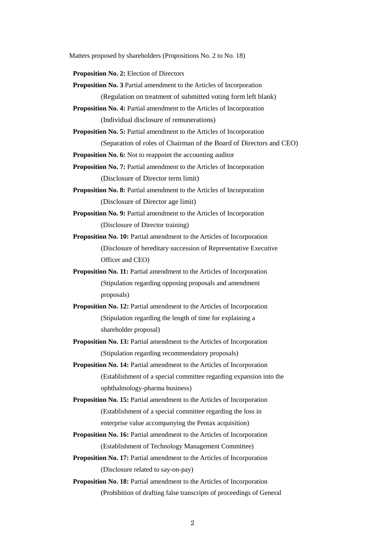Matters proposed by shareholders (Propositions No. 2 to No. 18)

**Proposition No. 2:** Election of Directors

- **Proposition No. 3** Partial amendment to the Articles of Incorporation (Regulation on treatment of submitted voting form left blank)
- **Proposition No. 4:** Partial amendment to the Articles of Incorporation (Individual disclosure of remunerations)
- **Proposition No. 5:** Partial amendment to the Articles of Incorporation
	- (Separation of roles of Chairman of the Board of Directors and CEO)

**Proposition No. 6:** Not to reappoint the accounting auditor

**Proposition No. 7:** Partial amendment to the Articles of Incorporation (Disclosure of Director term limit)

- **Proposition No. 8:** Partial amendment to the Articles of Incorporation (Disclosure of Director age limit)
- **Proposition No. 9:** Partial amendment to the Articles of Incorporation (Disclosure of Director training)

**Proposition No. 10:** Partial amendment to the Articles of Incorporation (Disclosure of hereditary succession of Representative Executive Officer and CEO)

- **Proposition No. 11:** Partial amendment to the Articles of Incorporation (Stipulation regarding opposing proposals and amendment proposals)
- **Proposition No. 12:** Partial amendment to the Articles of Incorporation (Stipulation regarding the length of time for explaining a shareholder proposal)
- **Proposition No. 13:** Partial amendment to the Articles of Incorporation (Stipulation regarding recommendatory proposals)
- **Proposition No. 14:** Partial amendment to the Articles of Incorporation (Establishment of a special committee regarding expansion into the ophthalmology-pharma business)
- **Proposition No. 15:** Partial amendment to the Articles of Incorporation (Establishment of a special committee regarding the loss in enterprise value accompanying the Pentax acquisition)
- **Proposition No. 16:** Partial amendment to the Articles of Incorporation (Establishment of Technology Management Committee)
- **Proposition No. 17:** Partial amendment to the Articles of Incorporation (Disclosure related to say-on-pay)
- **Proposition No. 18:** Partial amendment to the Articles of Incorporation (Prohibition of drafting false transcripts of proceedings of General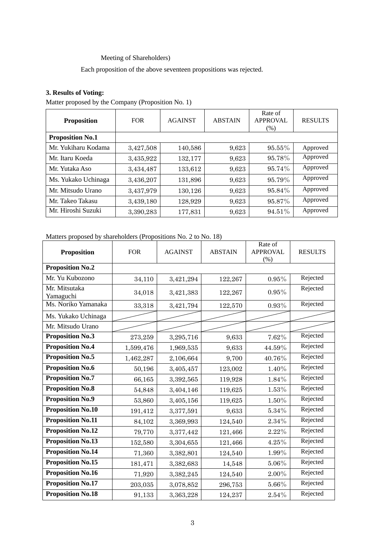# Meeting of Shareholders)

Each proposition of the above seventeen propositions was rejected.

# **3. Results of Voting:**

Matter proposed by the Company (Proposition No. 1)

| <b>Proposition</b>      | <b>FOR</b> | <b>AGAINST</b> | <b>ABSTAIN</b> | Rate of<br><b>APPROVAL</b><br>(% ) | <b>RESULTS</b> |
|-------------------------|------------|----------------|----------------|------------------------------------|----------------|
| <b>Proposition No.1</b> |            |                |                |                                    |                |
| Mr. Yukiharu Kodama     | 3,427,508  | 140,586        | 9,623          | $95.55\%$                          | Approved       |
| Mr. Itaru Koeda         | 3,435,922  | 132,177        | 9,623          | 95.78%                             | Approved       |
| Mr. Yutaka Aso          | 3,434,487  | 133,612        | 9,623          | 95.74%                             | Approved       |
| Ms. Yukako Uchinaga     | 3,436,207  | 131,896        | 9,623          | 95.79%                             | Approved       |
| Mr. Mitsudo Urano       | 3,437,979  | 130,126        | 9,623          | 95.84%                             | Approved       |
| Mr. Takeo Takasu        | 3,439,180  | 128,929        | 9,623          | 95.87%                             | Approved       |
| Mr. Hiroshi Suzuki      | 3,390,283  | 177,831        | 9,623          | 94.51%                             | Approved       |

#### Matters proposed by shareholders (Propositions No. 2 to No. 18)

| <b>Proposition</b>         | <b>FOR</b> | <b>AGAINST</b> | <b>ABSTAIN</b> | Rate of<br><b>APPROVAL</b><br>$(\% )$ | <b>RESULTS</b> |
|----------------------------|------------|----------------|----------------|---------------------------------------|----------------|
| <b>Proposition No.2</b>    |            |                |                |                                       |                |
| Mr. Yu Kubozono            | 34,110     | 3,421,294      | 122,267        | $0.95\%$                              | Rejected       |
| Mr. Mitsutaka<br>Yamaguchi | 34,018     | 3,421,383      | 122,267        | $0.95\%$                              | Rejected       |
| Ms. Noriko Yamanaka        | 33,318     | 3,421,794      | 122,570        | $0.93\%$                              | Rejected       |
| Ms. Yukako Uchinaga        |            |                |                |                                       |                |
| Mr. Mitsudo Urano          |            |                |                |                                       |                |
| <b>Proposition No.3</b>    | 273,259    | 3,295,716      | 9,633          | 7.62%                                 | Rejected       |
| <b>Proposition No.4</b>    | 1,599,476  | 1,969,535      | 9,633          | 44.59%                                | Rejected       |
| <b>Proposition No.5</b>    | 1,462,287  | 2,106,664      | 9,700          | 40.76%                                | Rejected       |
| <b>Proposition No.6</b>    | 50,196     | 3,405,457      | 123,002        | 1.40%                                 | Rejected       |
| <b>Proposition No.7</b>    | 66,165     | 3,392,565      | 119,928        | 1.84%                                 | Rejected       |
| <b>Proposition No.8</b>    | 54,848     | 3,404,146      | 119,625        | $1.53\%$                              | Rejected       |
| <b>Proposition No.9</b>    | 53,860     | 3,405,156      | 119,625        | $1.50\%$                              | Rejected       |
| <b>Proposition No.10</b>   | 191,412    | 3,377,591      | 9,633          | 5.34%                                 | Rejected       |
| <b>Proposition No.11</b>   | 84,102     | 3,369,993      | 124,540        | 2.34%                                 | Rejected       |
| <b>Proposition No.12</b>   | 79,770     | 3,377,442      | 121,466        | 2.22%                                 | Rejected       |
| <b>Proposition No.13</b>   | 152,580    | 3,304,655      | 121,466        | 4.25%                                 | Rejected       |
| <b>Proposition No.14</b>   | 71,360     | 3,382,801      | 124,540        | 1.99%                                 | Rejected       |
| <b>Proposition No.15</b>   | 181,471    | 3,382,683      | 14,548         | $5.06\%$                              | Rejected       |
| <b>Proposition No.16</b>   | 71,920     | 3,382,245      | 124,540        | $2.00\%$                              | Rejected       |
| <b>Proposition No.17</b>   | 203,035    | 3,078,852      | 296,753        | 5.66%                                 | Rejected       |
| <b>Proposition No.18</b>   | 91,133     | 3,363,228      | 124,237        | 2.54%                                 | Rejected       |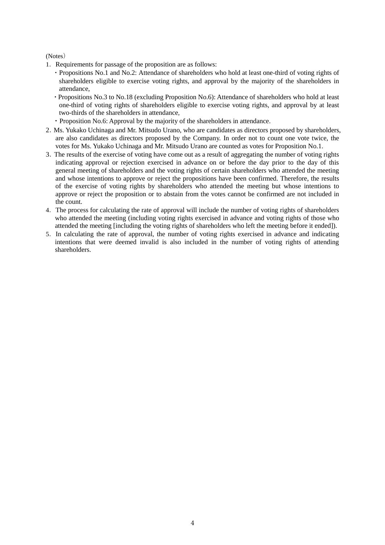(Notes)

- 1.Requirements for passage of the proposition are as follows:
	- ・Propositions No.1 and No.2: Attendance of shareholders who hold at least one-third of voting rights of shareholders eligible to exercise voting rights, and approval by the majority of the shareholders in attendance,
	- ・Propositions No.3 to No.18 (excluding Proposition No.6): Attendance of shareholders who hold at least one-third of voting rights of shareholders eligible to exercise voting rights, and approval by at least two-thirds of the shareholders in attendance,
	- ・Proposition No.6: Approval by the majority of the shareholders in attendance.
- 2.Ms. Yukako Uchinaga and Mr. Mitsudo Urano, who are candidates as directors proposed by shareholders, are also candidates as directors proposed by the Company. In order not to count one vote twice, the votes for Ms. Yukako Uchinaga and Mr. Mitsudo Urano are counted as votes for Proposition No.1.
- 3.The results of the exercise of voting have come out as a result of aggregating the number of voting rights indicating approval or rejection exercised in advance on or before the day prior to the day of this general meeting of shareholders and the voting rights of certain shareholders who attended the meeting and whose intentions to approve or reject the propositions have been confirmed. Therefore, the results of the exercise of voting rights by shareholders who attended the meeting but whose intentions to approve or reject the proposition or to abstain from the votes cannot be confirmed are not included in the count.
- 4.The process for calculating the rate of approval will include the number of voting rights of shareholders who attended the meeting (including voting rights exercised in advance and voting rights of those who attended the meeting [including the voting rights of shareholders who left the meeting before it ended]).
- 5.In calculating the rate of approval, the number of voting rights exercised in advance and indicating intentions that were deemed invalid is also included in the number of voting rights of attending shareholders.